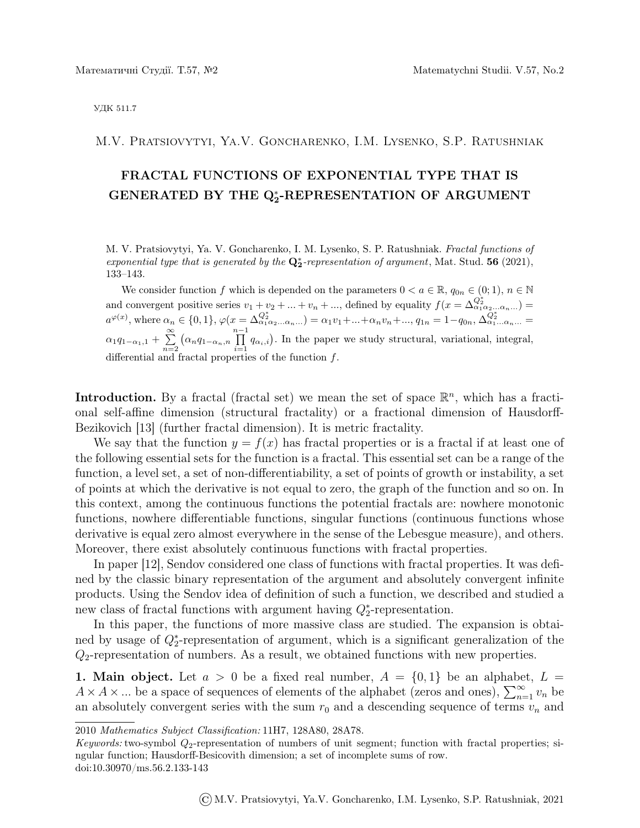УДК 511.7

M.V. Pratsiovytyi, Ya.V. Goncharenko, I.M. Lysenko, S.P. Ratushniak

# FRACTAL FUNCTIONS OF EXPONENTIAL TYPE THAT IS GENERATED BY THE Q<sup>\*</sup>-REPRESENTATION OF ARGUMENT

M. V. Pratsiovytyi, Ya. V. Goncharenko, I. M. Lysenko, S. P. Ratushniak. Fractal functions of exponential type that is generated by the  $\mathbf{Q}_2^*$ -representation of argument, Mat. Stud. 56 (2021), 133–143.

We consider function f which is depended on the parameters  $0 < a \in \mathbb{R}$ ,  $q_{0n} \in (0,1)$ ,  $n \in \mathbb{N}$ and convergent positive series  $v_1 + v_2 + ... + v_n + ...,$  defined by equality  $f(x = \Delta_{\alpha_1 \alpha_2 ... \alpha_n ...}^{\mathcal{Q}^*_2}) =$  $a^{\varphi(x)}$ , where  $\alpha_n \in \{0,1\}$ ,  $\varphi(x = \Delta_{\alpha_1 \alpha_2 ... \alpha_n ...}^{Q_2^*}) = \alpha_1 v_1 + ... + \alpha_n v_n + ..., q_{1n} = 1 - q_{0n}, \Delta_{\alpha_1 ... \alpha_n ...}^{Q_2^*} = q_{0n}$  $\alpha_1q_{1-\alpha_1,1}+\sum_{n=1}^{\infty}$  $n=2$  $\left(\alpha_n q_{1-\alpha_n,n}\prod^{n-1}\right)$  $\prod_{i=1} q_{\alpha_i,i}$ . In the paper we study structural, variational, integral, differential and fractal properties of the function  $f$ .

**Introduction.** By a fractal (fractal set) we mean the set of space  $\mathbb{R}^n$ , which has a fractional self-affine dimension (structural fractality) or a fractional dimension of Hausdorff-Bezikovich [13] (further fractal dimension). It is metric fractality.

We say that the function  $y = f(x)$  has fractal properties or is a fractal if at least one of the following essential sets for the function is a fractal. This essential set can be a range of the function, a level set, a set of non-differentiability, a set of points of growth or instability, a set of points at which the derivative is not equal to zero, the graph of the function and so on. In this context, among the continuous functions the potential fractals are: nowhere monotonic functions, nowhere differentiable functions, singular functions (continuous functions whose derivative is equal zero almost everywhere in the sense of the Lebesgue measure), and others. Moreover, there exist absolutely continuous functions with fractal properties.

In paper [12], Sendov considered one class of functions with fractal properties. It was defined by the classic binary representation of the argument and absolutely convergent infinite products. Using the Sendov idea of definition of such a function, we described and studied a new class of fractal functions with argument having  $Q_2^*$ -representation.

In this paper, the functions of more massive class are studied. The expansion is obtained by usage of  $Q_2^*$ -representation of argument, which is a significant generalization of the  $Q_2$ -representation of numbers. As a result, we obtained functions with new properties.

**1. Main object.** Let  $a > 0$  be a fixed real number,  $A = \{0, 1\}$  be an alphabet,  $L =$  $A \times A \times ...$  be a space of sequences of elements of the alphabet (zeros and ones),  $\sum_{n=1}^{\infty} v_n$  be an absolutely convergent series with the sum  $r_0$  and a descending sequence of terms  $v_n$  and

<sup>2010</sup> Mathematics Subject Classification: 11H7, 128A80, 28A78.

Keywords: two-symbol  $Q_2$ -representation of numbers of unit segment; function with fractal properties; singular function; Hausdorff-Besicovith dimension; a set of incomplete sums of row. doi:10.30970/ms.56.2.133-143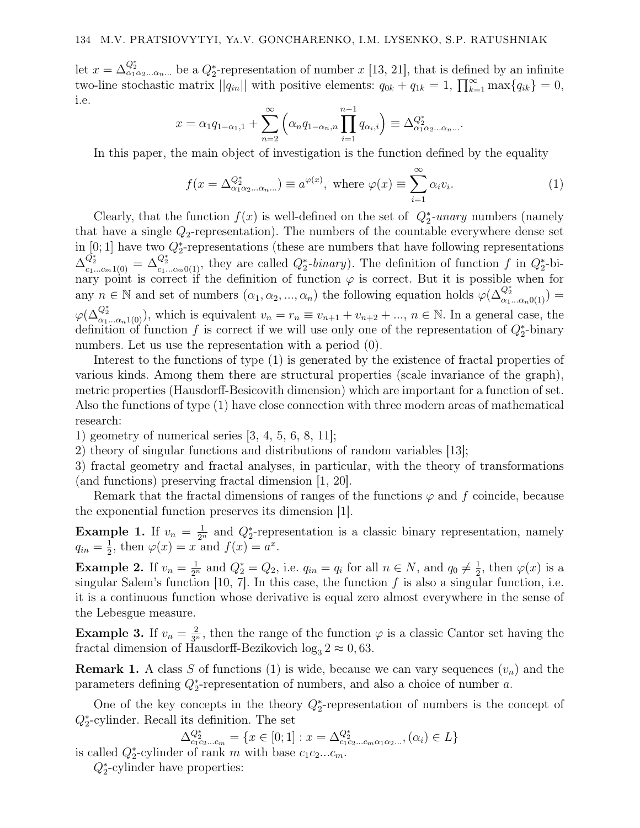let  $x = \Delta_{\alpha_1 \alpha_2...\alpha_n}^{\mathcal{Q}^*_2}$  be a  $Q_2^*$ -representation of number x [13, 21], that is defined by an infinite two-line stochastic matrix  $||q_{in}||$  with positive elements:  $q_{0k} + q_{1k} = 1$ ,  $\prod_{k=1}^{\infty} \max\{q_{ik}\} = 0$ , i.e.

$$
x = \alpha_1 q_{1-\alpha_1,1} + \sum_{n=2}^{\infty} \left( \alpha_n q_{1-\alpha_n,n} \prod_{i=1}^{n-1} q_{\alpha_i,i} \right) \equiv \Delta_{\alpha_1 \alpha_2 \dots \alpha_n \dots}^{Q_2^*}.
$$

In this paper, the main object of investigation is the function defined by the equality

$$
f(x = \Delta_{\alpha_1 \alpha_2 \dots \alpha_n \dots}^{\mathcal{Q}_2^*} ) \equiv a^{\varphi(x)}, \text{ where } \varphi(x) \equiv \sum_{i=1}^{\infty} \alpha_i v_i.
$$
 (1)

Clearly, that the function  $f(x)$  is well-defined on the set of  $Q_2^*$ -unary numbers (namely that have a single  $Q_2$ -representation). The numbers of the countable everywhere dense set in [0; 1] have two  $Q_2^*$ -representations (these are numbers that have following representations  $\Delta_{c_1...c_m(0)}^{Q_2^*} = \Delta_{c_1...c_m(0)}^{Q_2^*}$ , they are called  $Q_2^*$ -binary). The definition of function f in  $Q_2^*$ -binary point is correct if the definition of function  $\varphi$  is correct. But it is possible when for any  $n \in \mathbb{N}$  and set of numbers  $(\alpha_1, \alpha_2, ..., \alpha_n)$  the following equation holds  $\varphi(\Delta_{\alpha_1...\alpha_n0(1)}^{Q_2^*}) =$  $\varphi(\Delta_{\alpha_1...\alpha_n1(0)}^{Q_2^*})$ , which is equivalent  $v_n = r_n \equiv v_{n+1} + v_{n+2} + ..., n \in \mathbb{N}$ . In a general case, the definition of function f is correct if we will use only one of the representation of  $Q_2^*$ -binary numbers. Let us use the representation with a period  $(0)$ .

Interest to the functions of type (1) is generated by the existence of fractal properties of various kinds. Among them there are structural properties (scale invariance of the graph), metric properties (Hausdorff-Besicovith dimension) which are important for a function of set. Also the functions of type (1) have close connection with three modern areas of mathematical research:

1) geometry of numerical series  $[3, 4, 5, 6, 8, 11]$ ;

2) theory of singular functions and distributions of random variables [13];

3) fractal geometry and fractal analyses, in particular, with the theory of transformations (and functions) preserving fractal dimension [1, 20].

Remark that the fractal dimensions of ranges of the functions  $\varphi$  and f coincide, because the exponential function preserves its dimension [1].

**Example 1.** If  $v_n = \frac{1}{2^n}$  and  $Q_2^*$ -representation is a classic binary representation, namely  $q_{in}=\frac{1}{2}$  $\frac{1}{2}$ , then  $\varphi(x) = x$  and  $f(x) = a^x$ .

**Example 2.** If  $v_n = \frac{1}{2^n}$  and  $Q_2^* = Q_2$ , i.e.  $q_{in} = q_i$  for all  $n \in N$ , and  $q_0 \neq \frac{1}{2}$  $\frac{1}{2}$ , then  $\varphi(x)$  is a singular Salem's function  $[10, 7]$ . In this case, the function f is also a singular function, i.e. it is a continuous function whose derivative is equal zero almost everywhere in the sense of the Lebesgue measure.

**Example 3.** If  $v_n = \frac{2}{3^n}$ , then the range of the function  $\varphi$  is a classic Cantor set having the fractal dimension of Hausdorff-Bezikovich  $\log_3 2 \approx 0,63$ .

**Remark 1.** A class S of functions (1) is wide, because we can vary sequences  $(v_n)$  and the parameters defining  $Q_2^*$ -representation of numbers, and also a choice of number a.

One of the key concepts in the theory  $Q_2^*$ -representation of numbers is the concept of  $Q_2^*$ -cylinder. Recall its definition. The set

 $\Delta_{c_1c_2...c_m}^{Q_2^*} = \{x \in [0;1]: x = \Delta_{c_1c_2...c_m\alpha_1\alpha_2...}^{Q_2^*}, (\alpha_i) \in L\}$ 

is called  $Q_2^*$ -cylinder of rank m with base  $c_1c_2...c_m$ .

 $Q_2^*$ -cylinder have properties: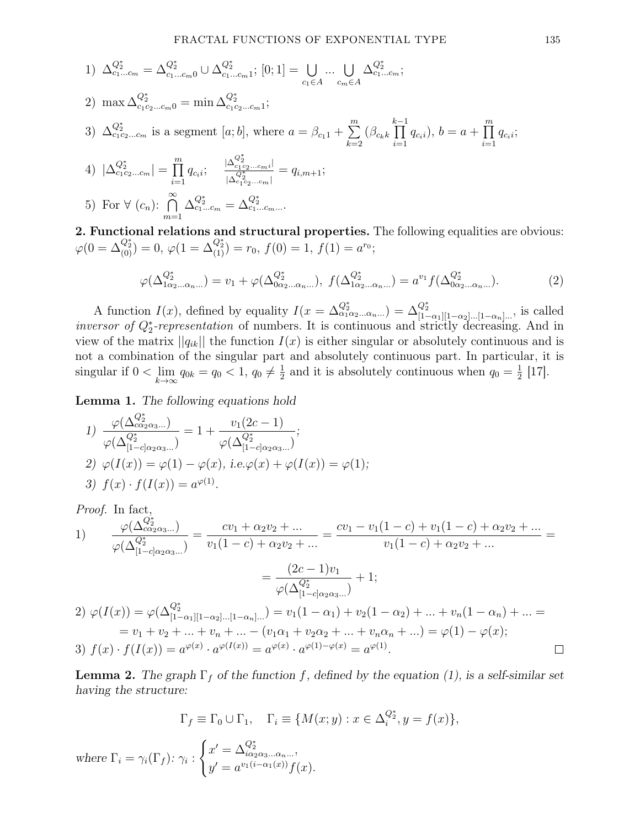1) 
$$
\Delta_{c_1...c_m}^{Q_2^*} = \Delta_{c_1...c_m0}^{Q_2^*} \cup \Delta_{c_1...c_m1}^{Q_2^*}; [0;1] = \bigcup_{c_1 \in A} ... \bigcup_{c_m \in A} \Delta_{c_1...c_m}^{Q_2^*};
$$

2) max 
$$
\Delta_{c_1c_2...c_m0}^{Q_2^*}
$$
 = min  $\Delta_{c_1c_2...c_m1}^{Q_2^*}$ ;

3) 
$$
\Delta_{c_1c_2...c_m}^{Q_2^*}
$$
 is a segment [a; b], where  $a = \beta_{c_11} + \sum_{k=2}^m (\beta_{c_k k} \prod_{i=1}^{k-1} q_{c_i i}), b = a + \prod_{i=1}^m q_{c_i i}$ ;

4) 
$$
|\Delta_{c_1c_2...c_m}^{Q_2^*}| = \prod_{i=1}^m q_{c_i i}; \quad \frac{|\Delta_{c_1c_2...c_m i}^{Q_2^*}|}{|\Delta_{c_1c_2...c_m}^{Q_2^*}|} = q_{i,m+1};
$$

5) For 
$$
\forall
$$
  $(c_n)$ :  $\bigcap_{m=1}^{\infty} \Delta_{c_1...c_m}^{Q_2^*} = \Delta_{c_1...c_m...}^{Q_2^*}$ .

2. Functional relations and structural properties. The following equalities are obvious:  $\varphi(0=\Delta_{(0)}^{Q_2^*})=0,\, \varphi(1=\Delta_{(1)}^{Q_2^*})=r_0,\, f(0)=1,\, f(1)=a^{r_0};$ 

$$
\varphi(\Delta_{1\alpha_2...\alpha_n...}^{Q_2^*}) = v_1 + \varphi(\Delta_{0\alpha_2...\alpha_n...}^{Q_2^*}), \ f(\Delta_{1\alpha_2...\alpha_n...}^{Q_2^*}) = a^{v_1} f(\Delta_{0\alpha_2...\alpha_n...}^{Q_2^*}).
$$
\n(2)

A function  $I(x)$ , defined by equality  $I(x = \Delta_{\alpha_1 \alpha_2 ... \alpha_n ...}^{Q_2^*}) = \Delta_{[1-\alpha_1][1-\alpha_2]...[1-\alpha_n]...}^{Q_2^*}$ , is called *inversor of Q<sup>\*</sup>-representation* of numbers. It is continuous and strictly decreasing. And in view of the matrix  $||q_{ik}||$  the function  $I(x)$  is either singular or absolutely continuous and is not a combination of the singular part and absolutely continuous part. In particular, it is singular if  $0 < \lim_{k \to \infty} q_{0k} = q_0 < 1, q_0 \neq \frac{1}{2}$  $\frac{1}{2}$  and it is absolutely continuous when  $q_0 = \frac{1}{2}$  $\frac{1}{2}$  [17].

Lemma 1. The following equations hold

1) 
$$
\frac{\varphi(\Delta^{Q_2^*}_{c\alpha_2\alpha_3...})}{\varphi(\Delta^{Q_2^*}_{[1-c]\alpha_2\alpha_3...})} = 1 + \frac{v_1(2c-1)}{\varphi(\Delta^{Q_2^*}_{[1-c]\alpha_2\alpha_3...})};
$$
  
2) 
$$
\varphi(I(x)) = \varphi(1) - \varphi(x), \text{ i.e. } \varphi(x) + \varphi(I(x)) = \varphi(1);
$$
  
3) 
$$
f(x) \cdot f(I(x)) = a^{\varphi(1)}.
$$

Proof. In fact,

1) 
$$
\frac{\varphi(\Delta^{Q_2^*}_{c\alpha_2\alpha_3\ldots})}{\varphi(\Delta^{Q_2^*}_{[1-c]\alpha_2\alpha_3\ldots})} = \frac{cv_1 + \alpha_2v_2 + \ldots}{v_1(1-c) + \alpha_2v_2 + \ldots} = \frac{cv_1 - v_1(1-c) + v_1(1-c) + \alpha_2v_2 + \ldots}{v_1(1-c) + \alpha_2v_2 + \ldots} =
$$

$$
= \frac{(2c-1)v_1}{\varphi(\Delta^{Q_2^*}_{[1-c]\alpha_2\alpha_3\ldots})} + 1;
$$
  
2) 
$$
\varphi(I(x)) = \varphi(\Delta^{Q_2^*}_{[1-\alpha_1][1-\alpha_2]\ldots[1-\alpha_n]\ldots}) = v_1(1-\alpha_1) + v_2(1-\alpha_2) + \ldots + v_n(1-\alpha_n) + \ldots =
$$

$$
= v_1 + v_2 + \ldots + v_n + \ldots - (v_1\alpha_1 + v_2\alpha_2 + \ldots + v_n\alpha_n + \ldots) = \varphi(1) - \varphi(x);
$$
  
3) 
$$
f(x) \cdot f(I(x)) = a^{\varphi(x)} \cdot a^{\varphi(I(x))} = a^{\varphi(x)} \cdot a^{\varphi(1)-\varphi(x)} = a^{\varphi(1)}.
$$

**Lemma 2.** The graph  $\Gamma_f$  of the function f, defined by the equation (1), is a self-similar set having the structure:

$$
\Gamma_f \equiv \Gamma_0 \cup \Gamma_1, \quad \Gamma_i \equiv \{ M(x; y) : x \in \Delta_i^{Q_2^*}, y = f(x) \},
$$
  
where 
$$
\Gamma_i = \gamma_i(\Gamma_f): \gamma_i : \begin{cases} x' = \Delta_{i\alpha_2\alpha_3...\alpha_n...}^{Q_2^*}, & \text{if } i = 0, \dots, n-1 \\ y' = a^{v_1(i-\alpha_1(x))} f(x). & \text{if } i = 0 \end{cases}
$$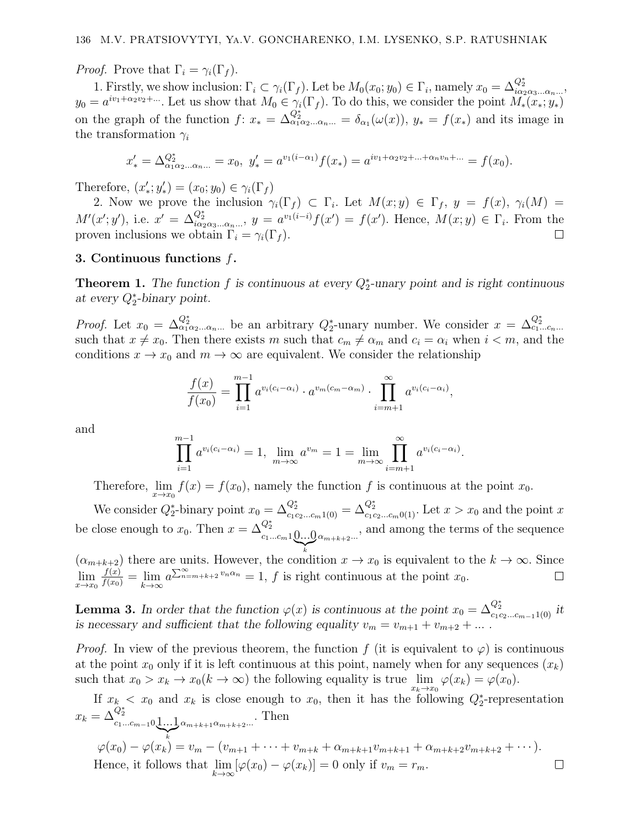*Proof.* Prove that  $\Gamma_i = \gamma_i(\Gamma_f)$ .

1. Firstly, we show inclusion:  $\Gamma_i \subset \gamma_i(\Gamma_f)$ . Let be  $M_0(x_0; y_0) \in \Gamma_i$ , namely  $x_0 = \Delta_{i\alpha_2\alpha_3\dots\alpha_n\dots}^{Q_2^*}$  $y_0 = a^{iv_1 + \alpha_2 v_2 + \dots}$ . Let us show that  $M_0 \in \gamma_i(\Gamma_f)$ . To do this, we consider the point  $M_*(x_*, y_*)$ on the graph of the function  $f: x_* = \Delta_{\alpha_1 \alpha_2 ... \alpha_n ...}^{\overline{Q_2^*}} = \delta_{\alpha_1}(\omega(x)), y_* = f(x_*)$  and its image in the transformation  $\gamma_i$ 

$$
x'_{*} = \Delta_{\alpha_{1}\alpha_{2}...\alpha_{n}...}^{\alpha_{2}} = x_{0}, \ y'_{*} = a^{v_{1}(i-\alpha_{1})}f(x_{*}) = a^{iv_{1}+\alpha_{2}v_{2}+...+\alpha_{n}v_{n}+...} = f(x_{0}).
$$

Therefore,  $(x'_*, y'_*) = (x_0; y_0) \in \gamma_i(\Gamma_f)$ 

2. Now we prove the inclusion  $\gamma_i(\Gamma_f) \subset \Gamma_i$ . Let  $M(x; y) \in \Gamma_f$ ,  $y = f(x)$ ,  $\gamma_i(M) =$  $M'(x'; y')$ , i.e.  $x' = \Delta_{i\alpha_2\alpha_3...\alpha_n...}^{Q_2^*}$ ,  $y = a^{v_1(i-i)}f(x') = f(x')$ . Hence,  $M(x; y) \in \Gamma_i$ . From the proven inclusions we obtain  $\Gamma_i = \gamma_i(\Gamma_f)$ .

### 3. Continuous functions  $f$ .

**Theorem 1.** The function f is continuous at every  $Q_2^*$ -unary point and is right continuous at every  $Q_2^*$ -binary point.

*Proof.* Let  $x_0 = \Delta_{\alpha_1 \alpha_2 \dots \alpha_n \dots}^{Q_2^*}$  be an arbitrary  $Q_2^*$ -unary number. We consider  $x = \Delta_{c_1...c_n...}^{Q_2^*}$ such that  $x \neq x_0$ . Then there exists m such that  $c_m \neq \alpha_m$  and  $c_i = \alpha_i$  when  $i < m$ , and the conditions  $x \to x_0$  and  $m \to \infty$  are equivalent. We consider the relationship

$$
\frac{f(x)}{f(x_0)} = \prod_{i=1}^{m-1} a^{v_i(c_i - \alpha_i)} \cdot a^{v_m(c_m - \alpha_m)} \cdot \prod_{i=m+1}^{\infty} a^{v_i(c_i - \alpha_i)},
$$

and

$$
\prod_{i=1}^{m-1} a^{v_i(c_i - \alpha_i)} = 1, \ \lim_{m \to \infty} a^{v_m} = 1 = \lim_{m \to \infty} \prod_{i=m+1}^{\infty} a^{v_i(c_i - \alpha_i)}.
$$

Therefore,  $\lim_{x\to x_0} f(x) = f(x_0)$ , namely the function f is continuous at the point  $x_0$ .

We consider  $Q_2^*$ -binary point  $x_0 = \Delta_{c_1c_2...c_m1(0)}^{Q_2^*} = \Delta_{c_1c_2...c_m0(1)}^{Q_2^*}$ . Let  $x > x_0$  and the point x be close enough to  $x_0$ . Then  $x = \Delta_{c_1...c_m1}^{Q_2^*}$  0...0  $\sum_{k}$  $\alpha_{m+k+2}$ , and among the terms of the sequence

 $(\alpha_{m+k+2})$  there are units. However, the condition  $x \to x_0$  is equivalent to the  $k \to \infty$ . Since  $\lim_{x\to x_0} \frac{f(x)}{f(x_0)} = \lim_{k\to\infty} a^{\sum_{n=m+k+2}^{\infty} v_n \alpha_n} = 1$ , f is right continuous at the point  $x_0$ .

**Lemma 3.** In order that the function  $\varphi(x)$  is continuous at the point  $x_0 = \Delta_{c_1c_2...c_{m-1}1(0)}^{Q_2^*}$  it is necessary and sufficient that the following equality  $v_m = v_{m+1} + v_{m+2} + ...$ 

*Proof.* In view of the previous theorem, the function f (it is equivalent to  $\varphi$ ) is continuous at the point  $x_0$  only if it is left continuous at this point, namely when for any sequences  $(x_k)$ such that  $x_0 > x_k \to x_0 (k \to \infty)$  the following equality is true  $\lim_{x_k \to x_0} \varphi(x_k) = \varphi(x_0)$ .

If  $x_k < x_0$  and  $x_k$  is close enough to  $x_0$ , then it has the following  $Q_2^*$ -representation  $x_k = \Delta^{{\overline{Q}}^*_2}_{c_1...c_{m-1}0\textcolor{red}{\c} 1...1\textcolor{red}{\c} }$  $\sum_{k}$  $\alpha_{m+k+1}\alpha_{m+k+2}$ ... Then

$$
\varphi(x_0) - \varphi(x_k) = v_m - (v_{m+1} + \dots + v_{m+k} + \alpha_{m+k+1}v_{m+k+1} + \alpha_{m+k+2}v_{m+k+2} + \dots).
$$
  
Hence, it follows that  $\lim_{k \to \infty} [\varphi(x_0) - \varphi(x_k)] = 0$  only if  $v_m = r_m$ .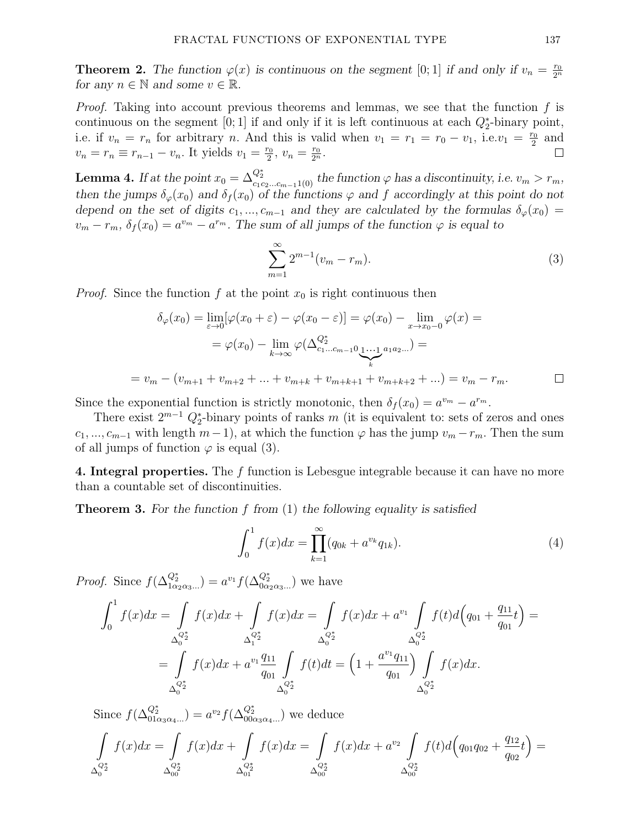**Theorem 2.** The function  $\varphi(x)$  is continuous on the segment [0; 1] if and only if  $v_n = \frac{r_0}{2^n}$  $\overline{2^n}$ for any  $n \in \mathbb{N}$  and some  $v \in \mathbb{R}$ .

*Proof.* Taking into account previous theorems and lemmas, we see that the function  $f$  is continuous on the segment [0; 1] if and only if it is left continuous at each  $Q_2^*$ -binary point, i.e. if  $v_n = r_n$  for arbitrary n. And this is valid when  $v_1 = r_1 = r_0 - v_1$ , i.e.  $v_1 = \frac{r_0}{2}$  $\frac{r_0}{2}$  and  $v_n = r_n \equiv r_{n-1} - v_n$ . It yields  $v_1 = \frac{r_0}{2}$  $\frac{r_0}{2}, v_n = \frac{r_0}{2^n}.$ П

**Lemma 4.** If at the point  $x_0 = \Delta_{c_1c_2...c_{m-1}1(0)}^{Q_2^*}$  the function  $\varphi$  has a discontinuity, i.e.  $v_m > r_m$ , then the jumps  $\delta_{\varphi}(x_0)$  and  $\delta_{f}(x_0)$  of the functions  $\varphi$  and f accordingly at this point do not depend on the set of digits  $c_1, ..., c_{m-1}$  and they are calculated by the formulas  $\delta_{\varphi}(x_0) =$  $v_m - r_m$ ,  $\delta_f(x_0) = a^{v_m} - a^{r_m}$ . The sum of all jumps of the function  $\varphi$  is equal to

$$
\sum_{m=1}^{\infty} 2^{m-1}(v_m - r_m). \tag{3}
$$

*Proof.* Since the function f at the point  $x_0$  is right continuous then

$$
\delta_{\varphi}(x_0) = \lim_{\varepsilon \to 0} [\varphi(x_0 + \varepsilon) - \varphi(x_0 - \varepsilon)] = \varphi(x_0) - \lim_{x \to x_0 - 0} \varphi(x) =
$$
  
=  $\varphi(x_0) - \lim_{k \to \infty} \varphi(\Delta_{c_1...c_{m-1}0}^{c_2 k} \underline{\cdots}^{a_1 a_2 ...}) =$   
=  $v_m - (v_{m+1} + v_{m+2} + ... + v_{m+k} + v_{m+k+1} + v_{m+k+2} + ...) = v_m - r_m.$ 

Since the exponential function is strictly monotonic, then  $\delta_f(x_0) = a^{v_m} - a^{r_m}$ .

There exist  $2^{m-1} Q_2^*$ -binary points of ranks m (it is equivalent to: sets of zeros and ones  $c_1, ..., c_{m-1}$  with length  $m-1$ , at which the function  $\varphi$  has the jump  $v_m - r_m$ . Then the sum of all jumps of function  $\varphi$  is equal (3).

4. Integral properties. The f function is Lebesgue integrable because it can have no more than a countable set of discontinuities.

**Theorem 3.** For the function f from  $(1)$  the following equality is satisfied

$$
\int_0^1 f(x)dx = \prod_{k=1}^\infty (q_{0k} + a^{v_k} q_{1k}).
$$
\n(4)

*Proof.* Since  $f(\Delta^{Q_2^*}_{1\alpha_2\alpha_3...}) = a^{v_1} f(\Delta^{Q_2^*}_{0\alpha_2\alpha_3...})$  we have

$$
\int_0^1 f(x)dx = \int_{\Delta_0^{Q_2^*}} f(x)dx + \int_{\Delta_1^{Q_2^*}} f(x)dx = \int_{\Delta_0^{Q_2^*}} f(x)dx + a^{v_1} \int_{\Delta_0^{Q_2^*}} f(t)d(q_{01} + \frac{q_{11}}{q_{01}}t) =
$$

$$
= \int_{\Delta_0^{Q_2^*}} f(x)dx + a^{v_1} \frac{q_{11}}{q_{01}} \int_{\Delta_0^{Q_2^*}} f(t)dt = \left(1 + \frac{a^{v_1}q_{11}}{q_{01}}\right) \int_{\Delta_0^{Q_2^*}} f(x)dx.
$$

Since  $f(\Delta_{01\alpha_3\alpha_4\dots}^{Q_2^*}) = a^{v_2} f(\Delta_{00\alpha_3\alpha_4\dots}^{Q_2^*})$  we deduce

$$
\int_{\Delta_0^{Q_2^*}} f(x)dx = \int_{\Delta_0^{Q_2^*}} f(x)dx + \int_{\Delta_0^{Q_2^*}} f(x)dx = \int_{\Delta_0^{Q_2^*}} f(x)dx + a^{v_2} \int_{\Delta_0^{Q_2^*}} f(t)d(q_{01}q_{02} + \frac{q_{12}}{q_{02}}t) =
$$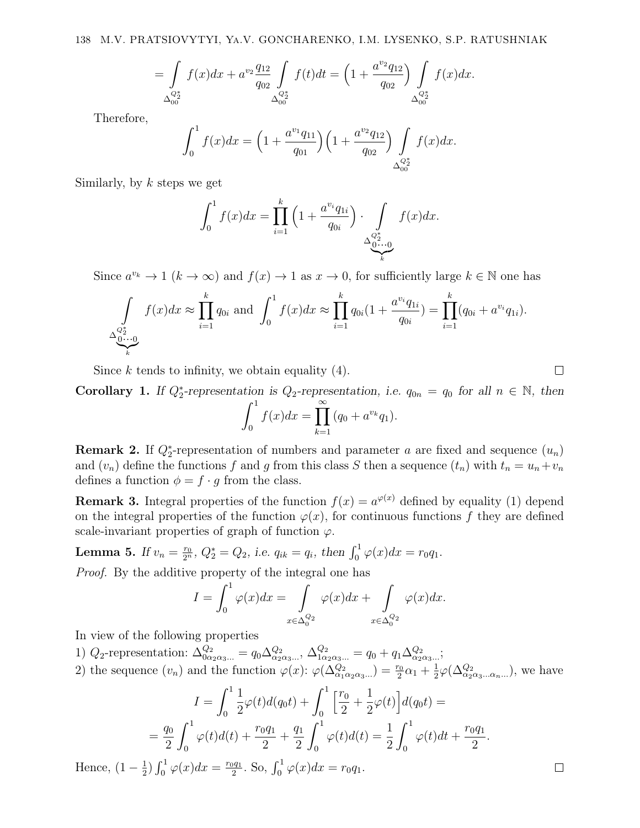$$
= \int_{\Delta_{00}^{Q_2^*}} f(x)dx + a^{v_2} \frac{q_{12}}{q_{02}} \int_{\Delta_{00}^{Q_2^*}} f(t)dt = \left(1 + \frac{a^{v_2}q_{12}}{q_{02}}\right) \int_{\Delta_{00}^{Q_2^*}} f(x)dx.
$$

Therefore,

$$
\int_0^1 f(x)dx = \left(1 + \frac{a^{v_1}q_{11}}{q_{01}}\right)\left(1 + \frac{a^{v_2}q_{12}}{q_{02}}\right)\int\limits_{\Delta_{00}^{Q_2^*}} f(x)dx.
$$

Similarly, by  $k$  steps we get

$$
\int_0^1 f(x)dx = \prod_{i=1}^k \left(1 + \frac{a^{v_i}q_{1i}}{q_{0i}}\right) \cdot \int\limits_{\Delta_{0 \cdots 0}^{Q_2^*}} f(x)dx.
$$

Since  $a^{v_k} \to 1$   $(k \to \infty)$  and  $f(x) \to 1$  as  $x \to 0$ , for sufficiently large  $k \in \mathbb{N}$  one has

$$
\int_{\Delta_{\underbrace{0\cdots 0}_{k}}^{\underbrace{Q_z^*}} f(x)dx \approx \prod_{i=1}^{k} q_{0i} \text{ and } \int_0^1 f(x)dx \approx \prod_{i=1}^{k} q_{0i} (1 + \frac{a^{v_i} q_{1i}}{q_{0i}}) = \prod_{i=1}^{k} (q_{0i} + a^{v_i} q_{1i}).
$$

Since k tends to infinity, we obtain equality  $(4)$ .

Corollary 1. If  $Q_2^*$ -representation is  $Q_2$ -representation, i.e.  $q_{0n} = q_0$  for all  $n \in \mathbb{N}$ , then

$$
\int_0^1 f(x)dx = \prod_{k=1}^\infty (q_0 + a^{v_k}q_1).
$$

**Remark 2.** If  $Q_2^*$ -representation of numbers and parameter a are fixed and sequence  $(u_n)$ and  $(v_n)$  define the functions f and g from this class S then a sequence  $(t_n)$  with  $t_n = u_n + v_n$ defines a function  $\phi = f \cdot g$  from the class.

**Remark 3.** Integral properties of the function  $f(x) = a^{\varphi(x)}$  defined by equality (1) depend on the integral properties of the function  $\varphi(x)$ , for continuous functions f they are defined scale-invariant properties of graph of function  $\varphi$ .

**Lemma 5.** If  $v_n = \frac{r_0}{2^n}$ ,  $Q_2^* = Q_2$ , i.e.  $q_{ik} = q_i$ , then  $\int_0^1 \varphi(x) dx = r_0 q_1$ .

Proof. By the additive property of the integral one has

$$
I = \int_0^1 \varphi(x) dx = \int_{x \in \Delta_0^{Q_2}} \varphi(x) dx + \int_{x \in \Delta_0^{Q_2}} \varphi(x) dx.
$$

In view of the following properties

1)  $Q_2$ -representation:  $\Delta_{0\alpha_2\alpha_3...}^{Q_2} = q_0 \Delta_{\alpha_2\alpha_3...}^{Q_2}, \Delta_{1\alpha_2\alpha_3...}^{Q_2} = q_0 + q_1 \Delta_{\alpha_2\alpha_3...}^{Q_2};$ 2) the sequence  $(v_n)$  and the function  $\varphi(x)$ :  $\varphi(\Delta_{\alpha_1\alpha_2\alpha_3...}^{Q_2}) = \frac{r_0}{2}\alpha_1 + \frac{1}{2}$  $\frac{1}{2}\varphi(\Delta_{\alpha_2\alpha_3...\alpha_n...}^{Q_2}),$  we have

$$
I = \int_0^1 \frac{1}{2} \varphi(t) d(q_0 t) + \int_0^1 \left[ \frac{r_0}{2} + \frac{1}{2} \varphi(t) \right] d(q_0 t) =
$$
  
=  $\frac{q_0}{2} \int_0^1 \varphi(t) d(t) + \frac{r_0 q_1}{2} + \frac{q_1}{2} \int_0^1 \varphi(t) d(t) = \frac{1}{2} \int_0^1 \varphi(t) dt + \frac{r_0 q_1}{2}.$   
=  $\frac{1}{2} \int_0^1 \varphi(x) dx = \frac{r_0 q_1}{2}$ . So,  $\int_0^1 \varphi(x) dx = r_0 q_1$ .

Hence,  $(1-\frac{1}{2})$  $\frac{1}{2}$ )  $\int_0^1 \varphi(x) dx = \frac{r_0 q_1}{2}$  $\int_2^{1} \theta_1 \cdot S_0$ ,  $\int_0^1 \varphi(x) dx = r_0 q_1$ .  $\Box$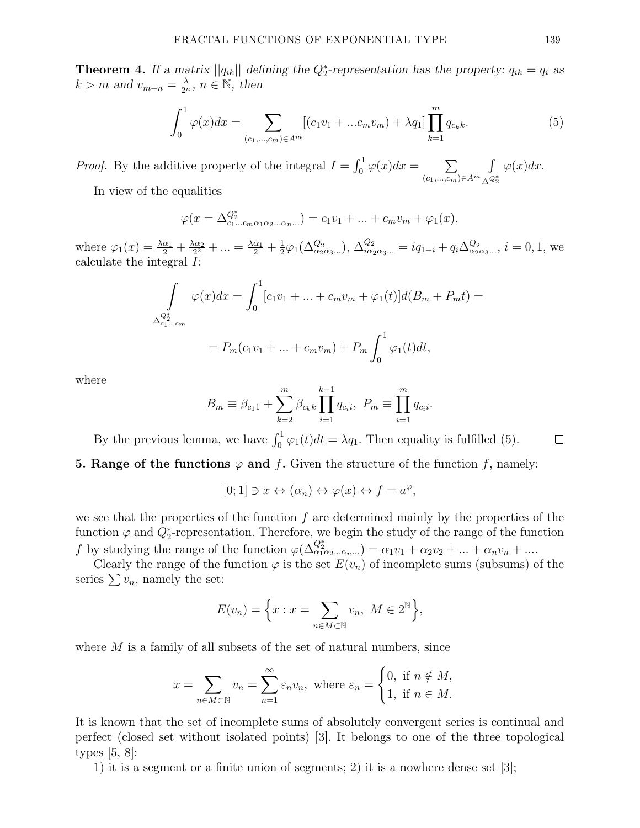**Theorem 4.** If a matrix  $||q_{ik}||$  defining the  $Q_2^*$ -representation has the property:  $q_{ik} = q_i$  as  $k > m$  and  $v_{m+n} = \frac{\lambda}{2^n}$ ,  $n \in \mathbb{N}$ , then

$$
\int_0^1 \varphi(x) dx = \sum_{(c_1, \dots, c_m) \in A^m} [(c_1 v_1 + \dots c_m v_m) + \lambda q_1] \prod_{k=1}^m q_{c_k k}.
$$
 (5)

*Proof.* By the additive property of the integral  $I = \int_0^1 \varphi(x) dx = \sum$  $(c_1,...,c_m)∈A^m$ R  $\overline{\Delta^{Q_2^*}}$  $\varphi(x)dx$ .

In view of the equalities

$$
\varphi(x = \Delta_{c_1...c_m \alpha_1 \alpha_2...\alpha_n...}^{Q^*} ) = c_1v_1 + ... + c_mv_m + \varphi_1(x),
$$

where  $\varphi_1(x) = \frac{\lambda \alpha_1}{2} + \frac{\lambda \alpha_2}{2^2}$  $\frac{\Delta \alpha_2}{2^2} + \ldots = \frac{\Delta \alpha_1}{2} + \frac{1}{2}$  $\frac{1}{2}\varphi_1(\Delta_{\alpha_2\alpha_3\dots}^{Q_2}), \Delta_{i\alpha_2\alpha_3\dots}^{Q_2} = iq_{1-i} + q_i \Delta_{\alpha_2\alpha_3\dots}^{Q_2}, i = 0, 1$ , we calculate the integral I:

$$
\int_{\Delta_{c_1...c_m}^{c_2^*}} \varphi(x) dx = \int_0^1 [c_1v_1 + ... + c_mv_m + \varphi_1(t)]d(B_m + P_m t) =
$$
  
=  $P_m(c_1v_1 + ... + c_mv_m) + P_m \int_0^1 \varphi_1(t)dt,$ 

where

$$
B_m \equiv \beta_{c_1 1} + \sum_{k=2}^{m} \beta_{c_k k} \prod_{i=1}^{k-1} q_{c_i i}, \ P_m \equiv \prod_{i=1}^{m} q_{c_i i}.
$$

By the previous lemma, we have  $\int_0^1 \varphi_1(t)dt = \lambda q_1$ . Then equality is fulfilled (5).

**5. Range of the functions**  $\varphi$  **and f.** Given the structure of the function f, namely:

$$
[0;1] \ni x \leftrightarrow (\alpha_n) \leftrightarrow \varphi(x) \leftrightarrow f = a^{\varphi},
$$

we see that the properties of the function  $f$  are determined mainly by the properties of the function  $\varphi$  and  $Q_2^*$ -representation. Therefore, we begin the study of the range of the function f by studying the range of the function  $\varphi(\Delta_{\alpha_1\alpha_2...\alpha_n}^{Q_2^*}) = \alpha_1v_1 + \alpha_2v_2 + ... + \alpha_nv_n + ...$ 

Clearly the range of the function  $\varphi$  is the set  $E(v_n)$  of incomplete sums (subsums) of the series  $\sum v_n$ , namely the set:

$$
E(v_n) = \left\{ x : x = \sum_{n \in M \subset \mathbb{N}} v_n, \ M \in 2^{\mathbb{N}} \right\},\
$$

where  $M$  is a family of all subsets of the set of natural numbers, since

$$
x = \sum_{n \in M \subset \mathbb{N}} v_n = \sum_{n=1}^{\infty} \varepsilon_n v_n, \text{ where } \varepsilon_n = \begin{cases} 0, & \text{if } n \notin M, \\ 1, & \text{if } n \in M. \end{cases}
$$

It is known that the set of incomplete sums of absolutely convergent series is continual and perfect (closed set without isolated points) [3]. It belongs to one of the three topological types  $[5, 8]$ :

1) it is a segment or a finite union of segments; 2) it is a nowhere dense set [3];

 $\Box$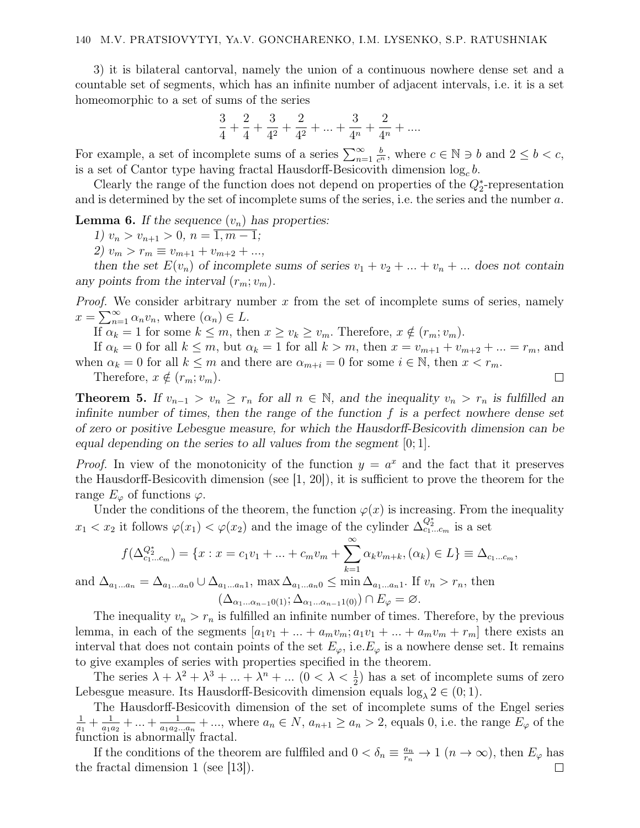3) it is bilateral cantorval, namely the union of a continuous nowhere dense set and a countable set of segments, which has an infinite number of adjacent intervals, i.e. it is a set homeomorphic to a set of sums of the series

$$
\frac{3}{4} + \frac{2}{4} + \frac{3}{4^2} + \frac{2}{4^2} + \ldots + \frac{3}{4^n} + \frac{2}{4^n} + \ldots
$$

For example, a set of incomplete sums of a series  $\sum_{n=1}^{\infty}$  $\frac{b}{c^n}$ , where  $c \in \mathbb{N} \ni b$  and  $2 \leq b < c$ , is a set of Cantor type having fractal Hausdorff-Besicovith dimension  $log_c b$ .

Clearly the range of the function does not depend on properties of the  $Q_2^*$ -representation and is determined by the set of incomplete sums of the series, i.e. the series and the number a.

#### **Lemma 6.** If the sequence  $(v_n)$  has properties:

1)  $v_n > v_{n+1} > 0, n = \overline{1, m-1};$ 

2)  $v_m > r_m \equiv v_{m+1} + v_{m+2} + ...,$ 

then the set  $E(v_n)$  of incomplete sums of series  $v_1 + v_2 + ... + v_n + ...$  does not contain any points from the interval  $(r_m; v_m)$ .

*Proof.* We consider arbitrary number  $x$  from the set of incomplete sums of series, namely  $x = \sum_{n=1}^{\infty} \alpha_n v_n$ , where  $(\alpha_n) \in L$ .

If  $\alpha_k = 1$  for some  $k \leq m$ , then  $x \geq v_k \geq v_m$ . Therefore,  $x \notin (r_m; v_m)$ .

If  $\alpha_k = 0$  for all  $k \leq m$ , but  $\alpha_k = 1$  for all  $k > m$ , then  $x = v_{m+1} + v_{m+2} + ... = r_m$ , and when  $\alpha_k = 0$  for all  $k \leq m$  and there are  $\alpha_{m+i} = 0$  for some  $i \in \mathbb{N}$ , then  $x < r_m$ .

 $\Box$ 

Therefore,  $x \notin (r_m; v_m)$ .

**Theorem 5.** If  $v_{n-1} > v_n \geq r_n$  for all  $n \in \mathbb{N}$ , and the inequality  $v_n > r_n$  is fulfilled an infinite number of times, then the range of the function  $f$  is a perfect nowhere dense set of zero or positive Lebesgue measure, for which the Hausdorff-Besicovith dimension can be equal depending on the series to all values from the segment [0; 1].

*Proof.* In view of the monotonicity of the function  $y = a^x$  and the fact that it preserves the Hausdorff-Besicovith dimension (see [1, 20]), it is sufficient to prove the theorem for the range  $E_{\varphi}$  of functions  $\varphi$ .

Under the conditions of the theorem, the function  $\varphi(x)$  is increasing. From the inequality  $x_1 < x_2$  it follows  $\varphi(x_1) < \varphi(x_2)$  and the image of the cylinder  $\Delta_{c_1...c_m}^{Q_2^*}$  is a set

$$
f(\Delta_{c_1...c_m}^{Q_2^*}) = \{x : x = c_1v_1 + ... + c_mv_m + \sum_{k=1}^{\infty} \alpha_k v_{m+k}, (\alpha_k) \in L\} \equiv \Delta_{c_1...c_m},
$$

and  $\Delta_{a_1...a_n} = \Delta_{a_1...a_n0} \cup \Delta_{a_1...a_n1}$ , max  $\Delta_{a_1...a_n0} \leq \min \Delta_{a_1...a_n1}$ . If  $v_n > r_n$ , then  $(\Delta_{\alpha_1...\alpha_{n-1}0(1)};\Delta_{\alpha_1...\alpha_{n-1}1(0)})\cap E_{\varphi}=\varnothing.$ 

The inequality  $v_n > r_n$  is fulfilled an infinite number of times. Therefore, by the previous lemma, in each of the segments  $[a_1v_1 + ... + a_mv_m; a_1v_1 + ... + a_mv_m + r_m]$  there exists an interval that does not contain points of the set  $E_{\varphi}$ , i.e.  $E_{\varphi}$  is a nowhere dense set. It remains to give examples of series with properties specified in the theorem.

The series  $\lambda + \lambda^2 + \lambda^3 + \dots + \lambda^n + \dots$   $(0 < \lambda < \frac{1}{2})$  has a set of incomplete sums of zero Lebesgue measure. Its Hausdorff-Besicovith dimension equals  $\log_{\lambda} 2 \in (0,1)$ .

The Hausdorff-Besicovith dimension of the set of incomplete sums of the Engel series 1  $\frac{1}{a_1} + \frac{1}{a_1}$  $\frac{1}{a_1 a_2} + \ldots + \frac{1}{a_1 a_2}$  $\frac{1}{a_1 a_2 ... a_n} + ...$ , where  $a_n \in N$ ,  $a_{n+1} \ge a_n > 2$ , equals 0, i.e. the range  $E_\varphi$  of the function is abnormally fractal.

If the conditions of the theorem are fulffiled and  $0 < \delta_n \equiv \frac{a_n}{r_n} \to 1$   $(n \to \infty)$ , then  $E_{\varphi}$  has the fractal dimension 1 (see [13]).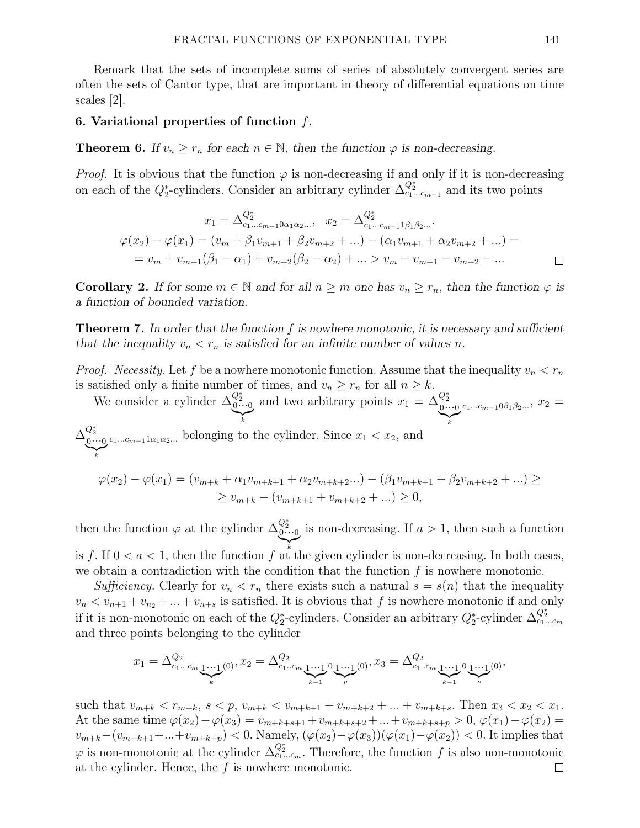Remark that the sets of incomplete sums of series of absolutely convergent series are often the sets of Cantor type, that are important in theory of differential equations on time scales [2].

#### 6. Variational properties of function  $f$ .

**Theorem 6.** If  $v_n \geq r_n$  for each  $n \in \mathbb{N}$ , then the function  $\varphi$  is non-decreasing.

*Proof.* It is obvious that the function  $\varphi$  is non-decreasing if and only if it is non-decreasing on each of the  $Q_2^*$ -cylinders. Consider an arbitrary cylinder  $\Delta_{c_1...c_{m-1}}^{Q_2^*}$  and its two points

$$
x_1 = \Delta_{c_1...c_{m-1}}^{Q_2^*} \alpha_1 \alpha_2 ... , \quad x_2 = \Delta_{c_1...c_{m-1}}^{Q_2^*} \alpha_2 \dots
$$
  

$$
\varphi(x_2) - \varphi(x_1) = (v_m + \beta_1 v_{m+1} + \beta_2 v_{m+2} + ...) - (\alpha_1 v_{m+1} + \alpha_2 v_{m+2} + ...) =
$$
  

$$
= v_m + v_{m+1}(\beta_1 - \alpha_1) + v_{m+2}(\beta_2 - \alpha_2) + ... > v_m - v_{m+1} - v_{m+2} - ...
$$

**Corollary 2.** If for some  $m \in \mathbb{N}$  and for all  $n \geq m$  one has  $v_n \geq r_n$ , then the function  $\varphi$  is a function of bounded variation.

**Theorem 7.** In order that the function f is nowhere monotonic, it is necessary and sufficient that the inequality  $v_n < r_n$  is satisfied for an infinite number of values n.

*Proof.* Necessity. Let f be a nowhere monotonic function. Assume that the inequality  $v_n < r_n$ is satisfied only a finite number of times, and  $v_n \ge r_n$  for all  $n \ge k$ .

We consider a cylinder  $\Delta_{0\cdots 0}^{Q_2^*}$  $\sum_{k}$ and two arbitrary points  $x_1 = \Delta_{0...0}^{Q_2^*}$  $\sum_{k}$  $c_1...c_{m-1}0\beta_1\beta_2...$ ,  $x_2 =$  $\Delta^{Q_2^*}_{0\cdots 0}$  $\sum_{k}$ k  $c_1...c_{m-1}1\alpha_1\alpha_2...$  belonging to the cylinder. Since  $x_1 < x_2$ , and  $\varphi(x_2) - \varphi(x_1) = (v_{m+k} + \alpha_1 v_{m+k+1} + \alpha_2 v_{m+k+2} ...) - (\beta_1 v_{m+k+1} + \beta_2 v_{m+k+2} + ...)$ 

then the function  $\varphi$  at the cylinder  $\Delta_{0\cdots 0}^{Q_2^*}$  $\sum_{k}$ k is non-decreasing. If  $a > 1$ , then such a function

 $\geq v_{m+k} - (v_{m+k+1} + v_{m+k+2} + ...) \geq 0,$ 

is f. If  $0 < a < 1$ , then the function f at the given cylinder is non-decreasing. In both cases, we obtain a contradiction with the condition that the function  $f$  is nowhere monotonic.

Sufficiency. Clearly for  $v_n < r_n$  there exists such a natural  $s = s(n)$  that the inequality  $v_n < v_{n+1} + v_{n+2} + \ldots + v_{n+s}$  is satisfied. It is obvious that f is nowhere monotonic if and only if it is non-monotonic on each of the  $Q_2^*$ -cylinders. Consider an arbitrary  $Q_2^*$ -cylinder  $\Delta_{c_1...c_m}^{Q_2^*}$ and three points belonging to the cylinder

$$
x_1 = \Delta^{\mathcal{Q}_2}_{c_1...c_m} \underbrace{1...1}_{k}(0), x_2 = \Delta^{\mathcal{Q}_2}_{c_1...c_m} \underbrace{1...1}_{k-1} 0 \underbrace{1...1}_{p}(0), x_3 = \Delta^{\mathcal{Q}_2}_{c_1...c_m} \underbrace{1...1}_{k-1} 0 \underbrace{1...1}_{s}(0),
$$

such that  $v_{m+k} < r_{m+k}$ ,  $s < p$ ,  $v_{m+k} < v_{m+k+1} + v_{m+k+2} + \ldots + v_{m+k+s}$ . Then  $x_3 < x_2 < x_1$ . At the same time  $\varphi(x_2) - \varphi(x_3) = v_{m+k+s+1} + v_{m+k+s+2} + \ldots + v_{m+k+s+p} > 0, \varphi(x_1) - \varphi(x_2) =$  $v_{m+k}-(v_{m+k+1}+...+v_{m+k+p})<0.$  Namely,  $(\varphi(x_2)-\varphi(x_3))(\varphi(x_1)-\varphi(x_2))<0.$  It implies that  $\varphi$  is non-monotonic at the cylinder  $\Delta_{c_1...c_m}^{Q_2^*}$ . Therefore, the function f is also non-monotonic at the cylinder. Hence, the  $f$  is nowhere monotonic.  $\Box$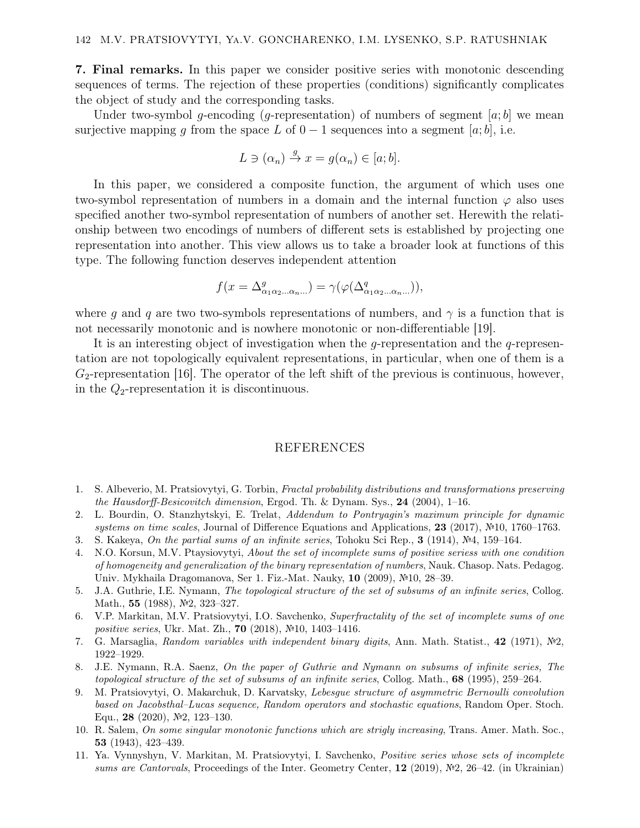7. Final remarks. In this paper we consider positive series with monotonic descending sequences of terms. The rejection of these properties (conditions) significantly complicates the object of study and the corresponding tasks.

Under two-symbol g-encoding (g-representation) of numbers of segment  $[a; b]$  we mean surjective mapping g from the space L of  $0-1$  sequences into a segment [a; b], i.e.

$$
L \ni (\alpha_n) \stackrel{g}{\to} x = g(\alpha_n) \in [a; b].
$$

In this paper, we considered a composite function, the argument of which uses one two-symbol representation of numbers in a domain and the internal function  $\varphi$  also uses specified another two-symbol representation of numbers of another set. Herewith the relationship between two encodings of numbers of different sets is established by projecting one representation into another. This view allows us to take a broader look at functions of this type. The following function deserves independent attention

$$
f(x = \Delta^g_{\alpha_1 \alpha_2 \dots \alpha_n \dots}) = \gamma(\varphi(\Delta^q_{\alpha_1 \alpha_2 \dots \alpha_n \dots})),
$$

where q and q are two two-symbols representations of numbers, and  $\gamma$  is a function that is not necessarily monotonic and is nowhere monotonic or non-differentiable [19].

It is an interesting object of investigation when the g-representation and the g-representation are not topologically equivalent representations, in particular, when one of them is a  $G_2$ -representation [16]. The operator of the left shift of the previous is continuous, however, in the  $Q_2$ -representation it is discontinuous.

## REFERENCES

- 1. S. Albeverio, M. Pratsiovytyi, G. Torbin, Fractal probability distributions and transformations preserving the Hausdorff-Besicovitch dimension, Ergod. Th. & Dynam. Sys., 24 (2004), 1–16.
- 2. L. Bourdin, O. Stanzhytskyi, E. Trelat, Addendum to Pontryagin's maximum principle for dynamic systems on time scales, Journal of Difference Equations and Applications, 23 (2017), №10, 1760–1763.
- 3. S. Kakeya, On the partial sums of an infinite series, Tohoku Sci Rep., 3 (1914), №4, 159–164.
- 4. N.O. Korsun, M.V. Ptaysiovytyi, About the set of incomplete sums of positive seriess with one condition of homogeneity and generalization of the binary representation of numbers, Nauk. Chasop. Nats. Pedagog. Univ. Mykhaila Dragomanova, Ser 1. Fiz.-Mat. Nauky, 10 (2009), №10, 28–39.
- 5. J.A. Guthrie, I.E. Nymann, The topological structure of the set of subsums of an infinite series, Collog. Math., 55 (1988), №2, 323–327.
- 6. V.P. Markitan, M.V. Pratsiovytyi, I.O. Savchenko, Superfractality of the set of incomplete sums of one positive series, Ukr. Mat. Zh., 70 (2018), №10, 1403–1416.
- 7. G. Marsaglia, Random variables with independent binary digits, Ann. Math. Statist., 42 (1971), №2, 1922–1929.
- 8. J.E. Nymann, R.A. Saenz, On the paper of Guthrie and Nymann on subsums of infinite series, The topological structure of the set of subsums of an infinite series, Collog. Math., 68 (1995), 259–264.
- 9. M. Pratsiovytyi, O. Makarchuk, D. Karvatsky, Lebesgue structure of asymmetric Bernoulli convolution based on Jacobsthal–Lucas sequence, Random operators and stochastic equations, Random Oper. Stoch. Equ., 28 (2020), №2, 123–130.
- 10. R. Salem, On some singular monotonic functions which are strigly increasing, Trans. Amer. Math. Soc., 53 (1943), 423–439.
- 11. Ya. Vynnyshyn, V. Markitan, M. Pratsiovytyi, I. Savchenko, Positive series whose sets of incomplete sums are Cantorvals, Proceedings of the Inter. Geometry Center, 12 (2019), №2, 26–42. (in Ukrainian)